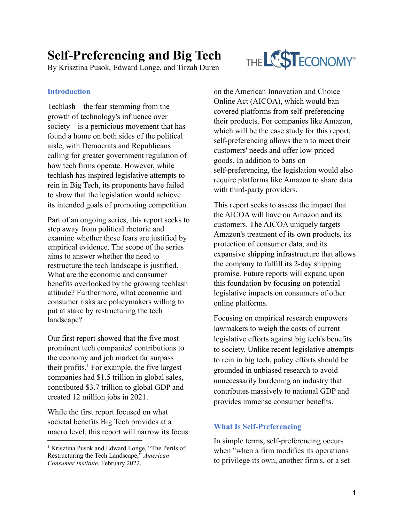# **Self-Preferencing and Big Tech**

By Krisztina Pusok, Edward Longe, and Tirzah Duren

### **Introduction**

Techlash—the fear stemming from the growth of technology's influence over society—is a pernicious movement that has found a home on both sides of the political aisle, with Democrats and Republicans calling for greater government regulation of how tech firms operate. However, while techlash has inspired legislative attempts to rein in Big Tech, its proponents have failed to show that the legislation would achieve its intended goals of promoting competition.

Part of an ongoing series, this report seeks to step away from political rhetoric and examine whether these fears are justified by empirical evidence. The scope of the series aims to answer whether the need to restructure the tech landscape is justified. What are the economic and consumer benefits overlooked by the growing techlash attitude? Furthermore, what economic and consumer risks are policymakers willing to put at stake by restructuring the tech landscape?

Our first report showed that the five most prominent tech companies' contributions to the economy and job market far surpass their profits.<sup>1</sup> For example, the five largest companies had \$1.5 trillion in global sales, contributed \$3.7 trillion to global GDP and created 12 million jobs in 2021.

While the first report focused on what societal benefits Big Tech provides at a macro level, this report will narrow its focus



on the American Innovation and Choice Online Act (AICOA), which would ban covered platforms from self-preferencing their products. For companies like Amazon, which will be the case study for this report, self-preferencing allows them to meet their customers' needs and offer low-priced goods. In addition to bans on self-preferencing, the legislation would also require platforms like Amazon to share data with third-party providers.

This report seeks to assess the impact that the AICOA will have on Amazon and its customers. The AICOA uniquely targets Amazon's treatment of its own products, its protection of consumer data, and its expansive shipping infrastructure that allows the company to fulfill its 2-day shipping promise. Future reports will expand upon this foundation by focusing on potential legislative impacts on consumers of other online platforms.

Focusing on empirical research empowers lawmakers to weigh the costs of current legislative efforts against big tech's benefits to society. Unlike recent legislative attempts to rein in big tech, policy efforts should be grounded in unbiased research to avoid unnecessarily burdening an industry that contributes massively to national GDP and provides immense consumer benefits.

## **What Is Self-Preferencing**

In simple terms, self-preferencing occurs when "when a firm modifies its operations to privilege its own, another firm's, or a set

<sup>&</sup>lt;sup>1</sup> Krisztina Pusok and Edward Longe, "The Perils of Restructuring the Tech Landscape," *American Consumer Institute*, February 2022.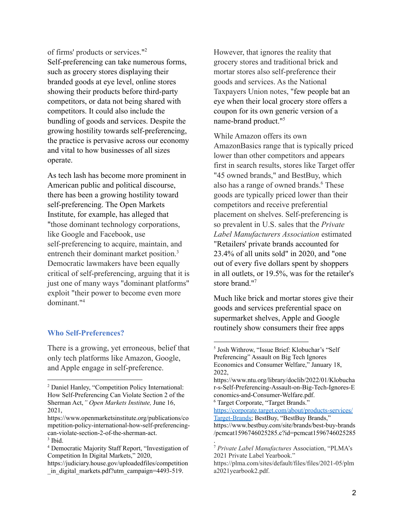of firms' products or services." 2 Self-preferencing can take numerous forms, such as grocery stores displaying their branded goods at eye level, online stores showing their products before third-party competitors, or data not being shared with competitors. It could also include the bundling of goods and services. Despite the growing hostility towards self-preferencing, the practice is pervasive across our economy and vital to how businesses of all sizes operate.

As tech lash has become more prominent in American public and political discourse, there has been a growing hostility toward self-preferencing. The Open Markets Institute, for example, has alleged that "those dominant technology corporations, like Google and Facebook, use self-preferencing to acquire, maintain, and entrench their dominant market position.<sup>3</sup> Democratic lawmakers have been equally critical of self-preferencing, arguing that it is just one of many ways "dominant platforms" exploit "their power to become even more dominant."<sup>4</sup>

#### **Who Self-Preferences?**

There is a growing, yet erroneous, belief that only tech platforms like Amazon, Google, and Apple engage in self-preference.

However, that ignores the reality that grocery stores and traditional brick and mortar stores also self-preference their goods and services. As the National Taxpayers Union notes, "few people bat an eye when their local grocery store offers a coupon for its own generic version of a name-brand product."<sup>5</sup>

While Amazon offers its own AmazonBasics range that is typically priced lower than other competitors and appears first in search results, stores like Target offer "45 owned brands," and BestBuy, which also has a range of owned brands.<sup>6</sup> These goods are typically priced lower than their competitors and receive preferential placement on shelves. Self-preferencing is so prevalent in U.S. sales that the *Private Label Manufacturers Association* estimated "Retailers' private brands accounted for 23.4% of all units sold" in 2020, and "one out of every five dollars spent by shoppers in all outlets, or 19.5%, was for the retailer's store brand."<sup>7</sup>

Much like brick and mortar stores give their goods and services preferential space on supermarket shelves, Apple and Google routinely show consumers their free apps

<sup>6</sup> Target Corporate, "Target Brands."

.

[https://corporate.target.com/about/products-services/](https://corporate.target.com/about/products-services/Target-Brands) [Target-Brands;](https://corporate.target.com/about/products-services/Target-Brands) BestBuy, "BestBuy Brands," https://www.bestbuy.com/site/brands/best-buy-brands /pcmcat1596746025285.c?id=pcmcat1596746025285

<sup>2</sup> Daniel Hanley, "Competition Policy International: How Self-Preferencing Can Violate Section 2 of the Sherman Act,*" Open Markets Institute,* June 16, 2021,

<sup>&</sup>lt;sup>3</sup> Ibid. https://www.openmarketsinstitute.org/publications/co mpetition-policy-international-how-self-preferencingcan-violate-section-2-of-the-sherman-act.

<sup>4</sup> Democratic Majority Staff Report, "Investigation of Competition In Digital Markets," 2020,

https://judiciary.house.gov/uploadedfiles/competition in digital markets.pdf?utm campaign=4493-519.

<sup>5</sup> Josh Withrow, "Issue Brief: Klobuchar's "Self Preferencing" Assault on Big Tech Ignores Economics and Consumer Welfare," January 18, 2022,

https://www.ntu.org/library/doclib/2022/01/Klobucha r-s-Self-Preferencing-Assault-on-Big-Tech-Ignores-E conomics-and-Consumer-Welfare.pdf.

<sup>7</sup> *Private Label Manufactures* Association, "PLMA's 2021 Private Label Yearbook."

https://plma.com/sites/default/files/files/2021-05/plm a2021yearbook2.pdf.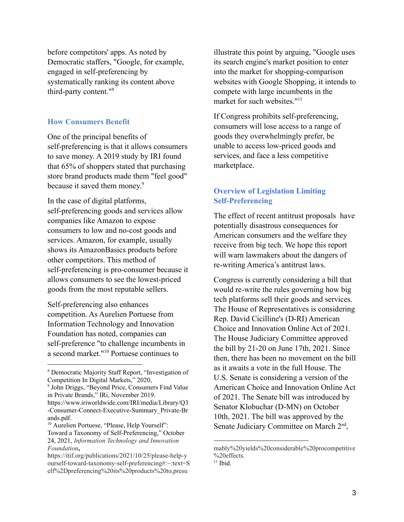before competitors' apps. As noted by Democratic staffers, "Google, for example, engaged in self-preferencing by systematically ranking its content above third-party content."<sup>8</sup>

#### **How Consumers Benefit**

One of the principal benefits of self-preferencing is that it allows consumers to save money. A 2019 study by IRI found that 65% of shoppers stated that purchasing store brand products made them "feel good" because it saved them money. 9

In the case of digital platforms, self-preferencing goods and services allow companies like Amazon to expose consumers to low and no-cost goods and services. Amazon, for example, usually shows its AmazonBasics products before other competitors. This method of self-preferencing is pro-consumer because it allows consumers to see the lowest-priced goods from the most reputable sellers.

Self-preferencing also enhances competition. As Aurelien Portuese from Information Technology and Innovation Foundation has noted, companies can self-preference "to challenge incumbents in a second market."<sup>10</sup> Portuese continues to

illustrate this point by arguing, "Google uses its search engine's market position to enter into the market for shopping-comparison websites with Google Shopping, it intends to compete with large incumbents in the market for such websites."<sup>11</sup>

If Congress prohibits self-preferencing, consumers will lose access to a range of goods they overwhelmingly prefer, be unable to access low-priced goods and services, and face a less competitive marketplace.

## **Overview of Legislation Limiting Self-Preferencing**

The effect of recent antitrust proposals have potentially disastrous consequences for American consumers and the welfare they receive from big tech. We hope this report will warn lawmakers about the dangers of re-writing America's antitrust laws.

Congress is currently considering a bill that would re-write the rules governing how big tech platforms sell their goods and services. The House of Representatives is considering Rep. David Cicilline's (D-RI) American Choice and Innovation Online Act of 2021. The House Judiciary Committee approved the bill by 21-20 on June 17th, 2021. Since then, there has been no movement on the bill as it awaits a vote in the full House. The U.S. Senate is considering a version of the American Choice and Innovation Online Act of 2021. The Senate bill was introduced by Senator Klobuchar (D-MN) on October 10th, 2021. The bill was approved by the Senate Judiciary Committee on March 2<sup>nd</sup>,

 $11$  Ibid.

<sup>8</sup> Democratic Majority Staff Report, "Investigation of Competition In Digital Markets," 2020,

<sup>9</sup> John Driggs, "Beyond Price, Consumers Find Value in Private Brands," IRi, November 2019.

https://www.iriworldwide.com/IRI/media/Library/Q3 -Consumer-Connect-Executive-Summary\_Private-Br ands.pdf.

<sup>&</sup>lt;sup>10</sup> Aurelien Portuese, "Please, Help Yourself": Toward a Taxonomy of Self-Preferencing," October 24, 2021, *Information Technology and Innovation Foundation***,**

https://itif.org/publications/2021/10/25/please-help-y ourself-toward-taxonomy-self-preferencing#:~:text=S elf%2Dpreferencing%20its%20products%20to,presu

mably%20yields%20considerable%20procompetitive %20effects.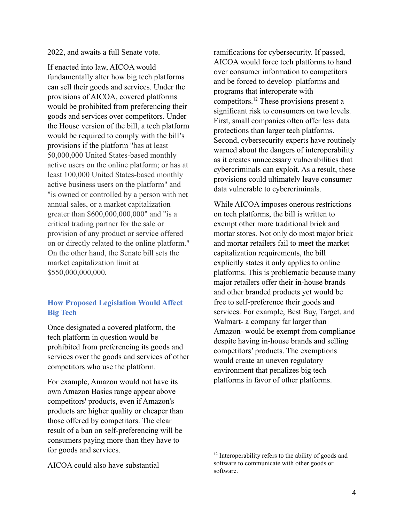2022, and awaits a full Senate vote.

If enacted into law, AICOA would fundamentally alter how big tech platforms can sell their goods and services. Under the provisions of AICOA, covered platforms would be prohibited from preferencing their goods and services over competitors. Under the House version of the bill, a tech platform would be required to comply with the bill's provisions if the platform "has at least 50,000,000 United States-based monthly active users on the online platform; or has at least 100,000 United States-based monthly active business users on the platform" and "is owned or controlled by a person with net annual sales, or a market capitalization greater than \$600,000,000,000" and "is a critical trading partner for the sale or provision of any product or service offered on or directly related to the online platform." On the other hand, the Senate bill sets the market capitalization limit at \$550,000,000,000*.*

## **How Proposed Legislation Would Affect Big Tech**

Once designated a covered platform, the tech platform in question would be prohibited from preferencing its goods and services over the goods and services of other competitors who use the platform.

For example, Amazon would not have its own Amazon Basics range appear above competitors' products, even if Amazon's products are higher quality or cheaper than those offered by competitors. The clear result of a ban on self-preferencing will be consumers paying more than they have to for goods and services.

AICOA could also have substantial

ramifications for cybersecurity. If passed, AICOA would force tech platforms to hand over consumer information to competitors and be forced to develop platforms and programs that interoperate with competitors.<sup>12</sup> These provisions present a significant risk to consumers on two levels. First, small companies often offer less data protections than larger tech platforms. Second, cybersecurity experts have routinely warned about the dangers of interoperability as it creates unnecessary vulnerabilities that cybercriminals can exploit. As a result, these provisions could ultimately leave consumer data vulnerable to cybercriminals.

While AICOA imposes onerous restrictions on tech platforms, the bill is written to exempt other more traditional brick and mortar stores. Not only do most major brick and mortar retailers fail to meet the market capitalization requirements, the bill explicitly states it only applies to online platforms. This is problematic because many major retailers offer their in-house brands and other branded products yet would be free to self-preference their goods and services. For example, Best Buy, Target, and Walmart- a company far larger than Amazon- would be exempt from compliance despite having in-house brands and selling competitors' products. The exemptions would create an uneven regulatory environment that penalizes big tech platforms in favor of other platforms.

<sup>&</sup>lt;sup>12</sup> Interoperability refers to the ability of goods and software to communicate with other goods or software.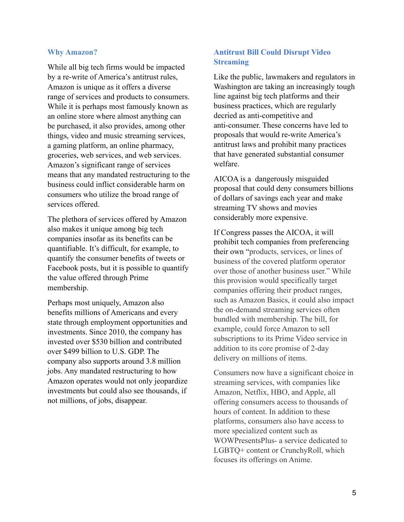#### **Why Amazon?**

While all big tech firms would be impacted by a re-write of America's antitrust rules, Amazon is unique as it offers a diverse range of services and products to consumers. While it is perhaps most famously known as an online store where almost anything can be purchased, it also provides, among other things, video and music streaming services, a gaming platform, an online pharmacy, groceries, web services, and web services. Amazon's significant range of services means that any mandated restructuring to the business could inflict considerable harm on consumers who utilize the broad range of services offered.

The plethora of services offered by Amazon also makes it unique among big tech companies insofar as its benefits can be quantifiable. It's difficult, for example, to quantify the consumer benefits of tweets or Facebook posts, but it is possible to quantify the value offered through Prime membership.

Perhaps most uniquely, Amazon also benefits millions of Americans and every state through employment opportunities and investments. Since 2010, the company has invested over \$530 billion and contributed over \$499 billion to U.S. GDP. The company also supports around 3.8 million jobs. Any mandated restructuring to how Amazon operates would not only jeopardize investments but could also see thousands, if not millions, of jobs, disappear.

## **Antitrust Bill Could Disrupt Video Streaming**

Like the public, lawmakers and regulators in Washington are taking an increasingly tough line against big tech platforms and their business practices, which are regularly decried as anti-competitive and anti-consumer. These concerns have led to proposals that would re-write America's antitrust laws and prohibit many practices that have generated substantial consumer welfare.

AICOA is a dangerously misguided proposal that could deny consumers billions of dollars of savings each year and make streaming TV shows and movies considerably more expensive.

If Congress passes the AICOA, it will prohibit tech companies from preferencing their own "products, services, or lines of business of the covered platform operator over those of another business user." While this provision would specifically target companies offering their product ranges, such as Amazon Basics, it could also impact the on-demand streaming services often bundled with membership. The bill, for example, could force Amazon to sell subscriptions to its Prime Video service in addition to its core promise of 2-day delivery on millions of items.

Consumers now have a significant choice in streaming services, with companies like Amazon, Netflix, HBO, and Apple, all offering consumers access to thousands of hours of content. In addition to these platforms, consumers also have access to more specialized content such as WOWPresentsPlus- a service dedicated to LGBTQ+ content or CrunchyRoll, which focuses its offerings on Anime.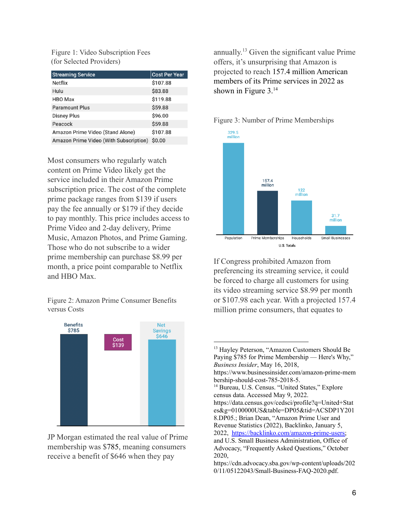Figure 1: Video Subscription Fees (for Selected Providers)

| <b>Streaming Service</b>               | <b>Cost Per Year</b> |
|----------------------------------------|----------------------|
| Netflix                                | \$107.88             |
| Hulu                                   | \$83.88              |
| <b>HBO</b> Max                         | \$119.88             |
| <b>Paramount Plus</b>                  | \$59.88              |
| <b>Disney Plus</b>                     | \$96.00              |
| Peacock                                | \$59.88              |
| Amazon Prime Video (Stand Alone)       | \$107.88             |
| Amazon Prime Video (With Subscription) | \$0.00               |

Most consumers who regularly watch content on Prime Video likely get the service included in their Amazon Prime subscription price. The cost of the complete prime package ranges from \$139 if users pay the fee annually or \$179 if they decide to pay monthly. This price includes access to Prime Video and 2-day delivery, Prime Music, Amazon Photos, and Prime Gaming. Those who do not subscribe to a wider prime membership can purchase \$8.99 per month, a price point comparable to Netflix and HBO Max.

Figure 2: Amazon Prime Consumer Benefits versus Costs



JP Morgan estimated the real value of Prime membership was \$785, meaning consumers receive a benefit of \$646 when they pay

annually. <sup>13</sup> Given the significant value Prime offers, it's unsurprising that Amazon is projected to reach 157.4 million American members of its Prime services in 2022 as shown in Figure 3.<sup>14</sup>



If Congress prohibited Amazon from preferencing its streaming service, it could be forced to charge all customers for using its video streaming service \$8.99 per month or \$107.98 each year. With a projected 157.4 million prime consumers, that equates to

## Figure 3: Number of Prime Memberships

<sup>&</sup>lt;sup>14</sup> Bureau, U.S. Census. "United States," Explore census data. Accessed May 9, 2022. https://data.census.gov/cedsci/profile?q=United+Stat es&g=0100000US&table=DP05&tid=ACSDP1Y201 8.DP05.; Brian Dean, "Amazon Prime User and Revenue Statistics (2022), Backlinko, January 5, 2022, [https://backlinko.com/amazon-prime-users;](https://backlinko.com/amazon-prime-users) and U.S. Small Business Administration, Office of Advocacy, "Frequently Asked Questions," October 2020, https://cdn.advocacy.sba.gov/wp-content/uploads/202 <sup>13</sup> Hayley Peterson, "Amazon Customers Should Be Paying \$785 for Prime Membership — Here's Why," *Business Insider*, May 16, 2018, https://www.businessinsider.com/amazon-prime-mem bership-should-cost-785-2018-5.

<sup>0/11/05122043/</sup>Small-Business-FAQ-2020.pdf.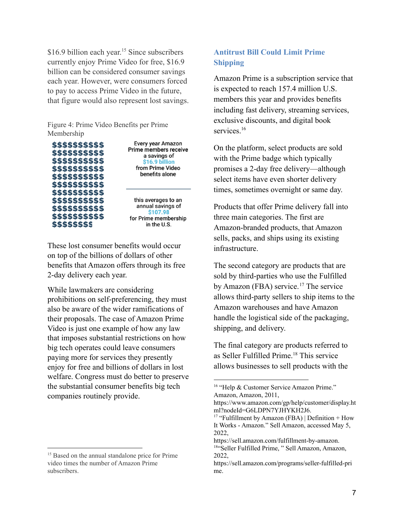\$16.9 billion each year.<sup>15</sup> Since subscribers currently enjoy Prime Video for free, \$16.9 billion can be considered consumer savings each year. However, were consumers forced to pay to access Prime Video in the future, that figure would also represent lost savings.

Figure 4: Prime Video Benefits per Prime Membership



These lost consumer benefits would occur on top of the billions of dollars of other benefits that Amazon offers through its free 2-day delivery each year.

While lawmakers are considering prohibitions on self-preferencing, they must also be aware of the wider ramifications of their proposals. The case of Amazon Prime Video is just one example of how any law that imposes substantial restrictions on how big tech operates could leave consumers paying more for services they presently enjoy for free and billions of dollars in lost welfare. Congress must do better to preserve the substantial consumer benefits big tech companies routinely provide.

## **Antitrust Bill Could Limit Prime Shipping**

Amazon Prime is a subscription service that is expected to reach 157.4 million U.S. members this year and provides benefits including fast delivery, streaming services, exclusive discounts, and digital book services.<sup>16</sup>

On the platform, select products are sold with the Prime badge which typically promises a 2-day free delivery—although select items have even shorter delivery times, sometimes overnight or same day.

Products that offer Prime delivery fall into three main categories. The first are Amazon-branded products, that Amazon sells, packs, and ships using its existing infrastructure.

The second category are products that are sold by third-parties who use the Fulfilled by Amazon (FBA) service.<sup>17</sup> The service allows third-party sellers to ship items to the Amazon warehouses and have Amazon handle the logistical side of the packaging, shipping, and delivery.

The final category are products referred to as Seller Fulfilled Prime.<sup>18</sup> This service allows businesses to sell products with the

<sup>&</sup>lt;sup>15</sup> Based on the annual standalone price for Prime video times the number of Amazon Prime subscribers.

<sup>&</sup>lt;sup>16</sup> "Help & Customer Service Amazon Prime." Amazon, Amazon, 2011,

https://www.amazon.com/gp/help/customer/display.ht ml?nodeId=G6LDPN7YJHYKH2J6.

<sup>&</sup>lt;sup>17</sup> "Fulfillment by Amazon (FBA) | Definition + How It Works - Amazon." Sell Amazon, accessed May 5, 2022,

<sup>&</sup>lt;sup>18"</sup>Seller Fulfilled Prime, " Sell Amazon, Amazon, 2022, https://sell.amazon.com/fulfillment-by-amazon.

https://sell.amazon.com/programs/seller-fulfilled-pri me.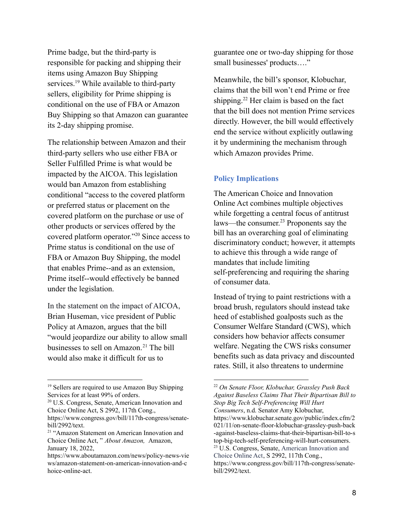Prime badge, but the third-party is responsible for packing and shipping their items using Amazon Buy Shipping services.<sup>19</sup> While available to third-party sellers, eligibility for Prime shipping is conditional on the use of FBA or Amazon Buy Shipping so that Amazon can guarantee its 2-day shipping promise.

The relationship between Amazon and their third-party sellers who use either FBA or Seller Fulfilled Prime is what would be impacted by the AICOA. This legislation would ban Amazon from establishing conditional "access to the covered platform or preferred status or placement on the covered platform on the purchase or use of other products or services offered by the covered platform operator."<sup>20</sup> Since access to Prime status is conditional on the use of FBA or Amazon Buy Shipping, the model that enables Prime--and as an extension, Prime itself--would effectively be banned under the legislation.

In the statement on the impact of AICOA, Brian Huseman, vice president of Public Policy at Amazon, argues that the bill "would jeopardize our ability to allow small businesses to sell on Amazon.<sup>21</sup> The bill would also make it difficult for us to

guarantee one or two-day shipping for those small businesses' products…."

Meanwhile, the bill's sponsor, Klobuchar, claims that the bill won't end Prime or free shipping.<sup>22</sup> Her claim is based on the fact that the bill does not mention Prime services directly. However, the bill would effectively end the service without explicitly outlawing it by undermining the mechanism through which Amazon provides Prime.

## **Policy Implications**

The American Choice and Innovation Online Act combines multiple objectives while forgetting a central focus of antitrust laws—the consumer. <sup>23</sup> Proponents say the bill has an overarching goal of eliminating discriminatory conduct; however, it attempts to achieve this through a wide range of mandates that include limiting self-preferencing and requiring the sharing of consumer data.

Instead of trying to paint restrictions with a broad brush, regulators should instead take heed of established goalposts such as the Consumer Welfare Standard (CWS), which considers how behavior affects consumer welfare. Negating the CWS risks consumer benefits such as data privacy and discounted rates. Still, it also threatens to undermine

<sup>&</sup>lt;sup>19</sup> Sellers are required to use Amazon Buy Shipping Services for at least 99% of orders.

<sup>20</sup> U.S. Congress, Senate, American Innovation and Choice Online Act, S 2992, 117th Cong., https://www.congress.gov/bill/117th-congress/senatebill/2992/text.

<sup>&</sup>lt;sup>21</sup> "Amazon Statement on American Innovation and Choice Online Act, " *About Amazon,* Amazon, January 18, 2022,

https://www.aboutamazon.com/news/policy-news-vie ws/amazon-statement-on-american-innovation-and-c hoice-online-act.

<sup>23</sup> U.S. Congress, Senate, American Innovation and Choice Online Act, S 2992, 117th Cong., https://www.congress.gov/bill/117th-congress/senatebill/2992/text. <sup>22</sup> *On Senate Floor, Klobuchar, Grassley Push Back Against Baseless Claims That Their Bipartisan Bill to Stop Big Tech Self-Preferencing Will Hurt Consumers*, n.d. Senator Amy Klobuchar, https://www.klobuchar.senate.gov/public/index.cfm/2 021/11/on-senate-floor-klobuchar-grassley-push-back -against-baseless-claims-that-their-bipartisan-bill-to-s top-big-tech-self-preferencing-will-hurt-consumers.